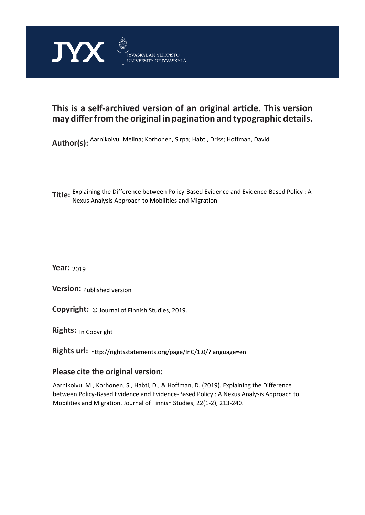

## **This is a self-archived version of an original article. This version may differ from the original in pagination and typographic details.**

**Author(s):**  Aarnikoivu, Melina; Korhonen, Sirpa; Habti, Driss; Hoffman, David

**Title:**  Explaining the Difference between Policy-Based Evidence and Evidence-Based Policy : A Nexus Analysis Approach to Mobilities and Migration

**Year:**  2019

**Version:**

**Version:** Published version<br>**Copyright:** © Journal of Finnish Studies, 2019.

**Rights:** In Copyright

**Rights url:**  http://rightsstatements.org/page/InC/1.0/?language=en

## **Please cite the original version:**

Aarnikoivu, M., Korhonen, S., Habti, D., & Hoffman, D. (2019). Explaining the Difference between Policy-Based Evidence and Evidence-Based Policy : A Nexus Analysis Approach to Mobilities and Migration. Journal of Finnish Studies, 22(1-2), 213-240.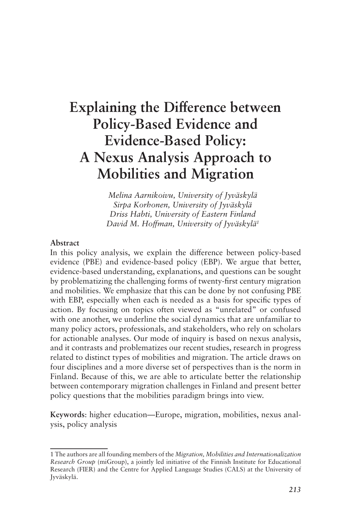# **Explaining the Difference between Policy-Based Evidence and Evidence-Based Policy: A Nexus Analysis Approach to Mobilities and Migration**

*Melina Aarnikoivu, University of Jyväskylä Sirpa Korhonen, University of Jyväskylä Driss Habti, University of Eastern Finland David M. Hoffman, University of Jyväskylä1*

#### **Abstract**

In this policy analysis, we explain the difference between policy-based evidence (PBE) and evidence-based policy (EBP). We argue that better, evidence-based understanding, explanations, and questions can be sought by problematizing the challenging forms of twenty-first century migration and mobilities. We emphasize that this can be done by not confusing PBE with EBP, especially when each is needed as a basis for specific types of action. By focusing on topics often viewed as "unrelated" or confused with one another, we underline the social dynamics that are unfamiliar to many policy actors, professionals, and stakeholders, who rely on scholars for actionable analyses. Our mode of inquiry is based on nexus analysis, and it contrasts and problematizes our recent studies, research in progress related to distinct types of mobilities and migration. The article draws on four disciplines and a more diverse set of perspectives than is the norm in Finland. Because of this, we are able to articulate better the relationship between contemporary migration challenges in Finland and present better policy questions that the mobilities paradigm brings into view.

**Keywords**: higher education—Europe, migration, mobilities, nexus analysis, policy analysis

<sup>1</sup> The authors are all founding members of the *Migration, Mobilities and Internationalization Research Group* (miGroup), a jointly led initiative of the Finnish Institute for Educational Research (FIER) and the Centre for Applied Language Studies (CALS) at the University of Jyväskylä.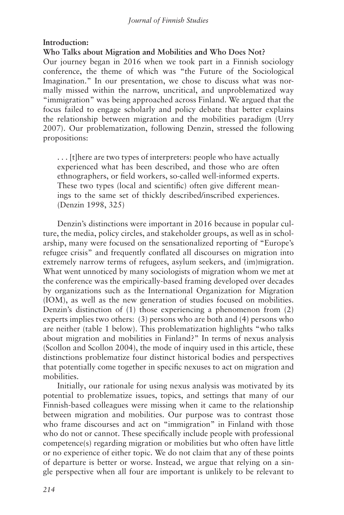### **Introduction:**

**Who Talks about Migration and Mobilities and Who Does Not?**

Our journey began in 2016 when we took part in a Finnish sociology conference, the theme of which was "the Future of the Sociological Imagination." In our presentation, we chose to discuss what was normally missed within the narrow, uncritical, and unproblematized way "immigration" was being approached across Finland. We argued that the focus failed to engage scholarly and policy debate that better explains the relationship between migration and the mobilities paradigm (Urry 2007). Our problematization, following Denzin, stressed the following propositions:

. . . [t]here are two types of interpreters: people who have actually experienced what has been described, and those who are often ethnographers, or field workers, so-called well-informed experts. These two types (local and scientific) often give different meanings to the same set of thickly described/inscribed experiences. (Denzin 1998, 325)

Denzin's distinctions were important in 2016 because in popular culture, the media, policy circles, and stakeholder groups, as well as in scholarship, many were focused on the sensationalized reporting of "Europe's refugee crisis" and frequently conflated all discourses on migration into extremely narrow terms of refugees, asylum seekers, and (im)migration. What went unnoticed by many sociologists of migration whom we met at the conference was the empirically-based framing developed over decades by organizations such as the International Organization for Migration (IOM), as well as the new generation of studies focused on mobilities. Denzin's distinction of (1) those experiencing a phenomenon from (2) experts implies two others: (3) persons who are both and (4) persons who are neither (table 1 below). This problematization highlights "who talks about migration and mobilities in Finland?" In terms of nexus analysis (Scollon and Scollon 2004), the mode of inquiry used in this article, these distinctions problematize four distinct historical bodies and perspectives that potentially come together in specific nexuses to act on migration and mobilities.

Initially, our rationale for using nexus analysis was motivated by its potential to problematize issues, topics, and settings that many of our Finnish-based colleagues were missing when it came to the relationship between migration and mobilities. Our purpose was to contrast those who frame discourses and act on "immigration" in Finland with those who do not or cannot. These specifically include people with professional competence(s) regarding migration or mobilities but who often have little or no experience of either topic. We do not claim that any of these points of departure is better or worse. Instead, we argue that relying on a single perspective when all four are important is unlikely to be relevant to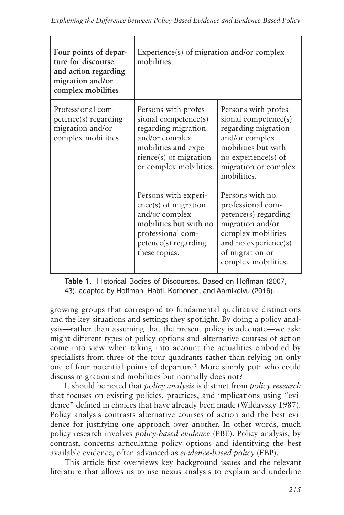| Four points of depar-<br>ture for discourse<br>and action regarding<br>migration and/or<br>complex mobilities | Experience(s) of migration and/or complex<br>mobilities                                                                                                           |                                                                                                                                                                            |
|---------------------------------------------------------------------------------------------------------------|-------------------------------------------------------------------------------------------------------------------------------------------------------------------|----------------------------------------------------------------------------------------------------------------------------------------------------------------------------|
| Professional com-<br>petence(s) regarding<br>migration and/or<br>complex mobilities                           | Persons with profes-<br>sional competence(s)<br>regarding migration<br>and/or complex<br>mobilities and expe-<br>rience(s) of migration<br>or complex mobilities. | Persons with profes-<br>sional competence(s)<br>regarding migration<br>and/or complex<br>mobilities but with<br>no experience(s) of<br>migration or complex<br>mobilities. |
|                                                                                                               | Persons with experi-<br>$ence(s)$ of migration<br>and/or complex<br>mobilities but with no<br>professional com-<br>petence(s) regarding<br>these topics.          | Persons with no<br>professional com-<br>petence(s) regarding<br>migration and/or<br>complex mobilities<br>and no experience(s)<br>of migration or<br>complex mobilities.   |

**Table 1.** Historical Bodies of Discourses. Based on Hoffman (2007, 43), adapted by Hoffman, Habti, Korhonen, and Aarnikoivu (2016).

growing groups that correspond to fundamental qualitative distinctions and the key situations and settings they spotlight. By doing a policy analysis—rather than assuming that the present policy is adequate—we ask: might different types of policy options and alternative courses of action come into view when taking into account the actualities embodied by specialists from three of the four quadrants rather than relying on only one of four potential points of departure? More simply put: who could discuss migration and mobilities but normally does not?

It should be noted that *policy analysis* is distinct from *policy research* that focuses on existing policies, practices, and implications using "evidence" defined in choices that have already been made (Wildavsky 1987). Policy analysis contrasts alternative courses of action and the best evidence for justifying one approach over another. In other words, much policy research involves *policy-based evidence* (PBE). Policy analysis, by contrast, concerns articulating policy options and identifying the best available evidence, often advanced as *evidence-based policy* (EBP).

This article first overviews key background issues and the relevant literature that allows us to use nexus analysis to explain and underline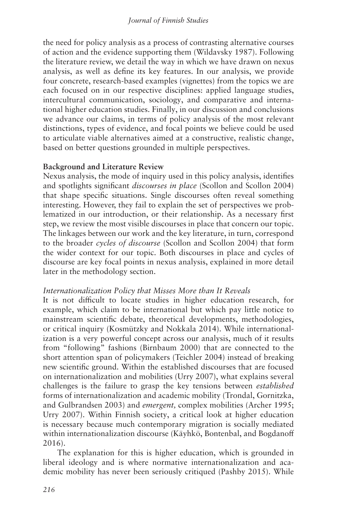the need for policy analysis as a process of contrasting alternative courses of action and the evidence supporting them (Wildavsky 1987). Following the literature review, we detail the way in which we have drawn on nexus analysis, as well as define its key features. In our analysis, we provide four concrete, research-based examples (vignettes) from the topics we are each focused on in our respective disciplines: applied language studies, intercultural communication, sociology, and comparative and international higher education studies. Finally, in our discussion and conclusions we advance our claims, in terms of policy analysis of the most relevant distinctions, types of evidence, and focal points we believe could be used to articulate viable alternatives aimed at a constructive, realistic change, based on better questions grounded in multiple perspectives.

#### **Background and Literature Review**

Nexus analysis, the mode of inquiry used in this policy analysis, identifies and spotlights significant *discourses in place* (Scollon and Scollon 2004) that shape specific situations. Single discourses often reveal something interesting. However, they fail to explain the set of perspectives we problematized in our introduction, or their relationship. As a necessary first step, we review the most visible discourses in place that concern our topic. The linkages between our work and the key literature, in turn, correspond to the broader *cycles of discourse* (Scollon and Scollon 2004) that form the wider context for our topic. Both discourses in place and cycles of discourse are key focal points in nexus analysis, explained in more detail later in the methodology section.

#### *Internationalization Policy that Misses More than It Reveals*

It is not difficult to locate studies in higher education research, for example, which claim to be international but which pay little notice to mainstream scientific debate, theoretical developments, methodologies, or critical inquiry (Kosmützky and Nokkala 2014). While internationalization is a very powerful concept across our analysis, much of it results from "following" fashions (Birnbaum 2000) that are connected to the short attention span of policymakers (Teichler 2004) instead of breaking new scientific ground. Within the established discourses that are focused on internationalization and mobilities (Urry 2007), what explains several challenges is the failure to grasp the key tensions between *established* forms of internationalization and academic mobility (Trondal, Gornitzka, and Gulbrandsen 2003) and *emergent,* complex mobilities (Archer 1995; Urry 2007). Within Finnish society, a critical look at higher education is necessary because much contemporary migration is socially mediated within internationalization discourse (Käyhkö, Bontenbal, and Bogdanoff 2016).

The explanation for this is higher education, which is grounded in liberal ideology and is where normative internationalization and academic mobility has never been seriously critiqued (Pashby 2015). While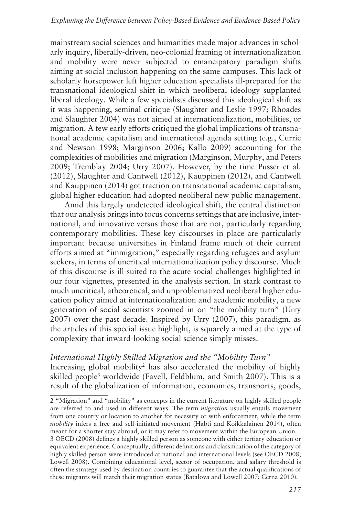mainstream social sciences and humanities made major advances in scholarly inquiry, liberally-driven, neo-colonial framing of internationalization and mobility were never subjected to emancipatory paradigm shifts aiming at social inclusion happening on the same campuses. This lack of scholarly horsepower left higher education specialists ill-prepared for the transnational ideological shift in which neoliberal ideology supplanted liberal ideology. While a few specialists discussed this ideological shift as it was happening, seminal critique (Slaughter and Leslie 1997; Rhoades and Slaughter 2004) was not aimed at internationalization, mobilities, or migration. A few early efforts critiqued the global implications of transnational academic capitalism and international agenda setting (e.g., Currie and Newson 1998; Marginson 2006; Kallo 2009) accounting for the complexities of mobilities and migration (Marginson, Murphy, and Peters 2009; Tremblay 2004; Urry 2007). However, by the time Pusser et al. (2012), Slaughter and Cantwell (2012), Kauppinen (2012), and Cantwell and Kauppinen (2014) got traction on transnational academic capitalism, global higher education had adopted neoliberal new public management.

Amid this largely undetected ideological shift, the central distinction that our analysis brings into focus concerns settings that are inclusive, international, and innovative versus those that are not, particularly regarding contemporary mobilities. These key discourses in place are particularly important because universities in Finland frame much of their current efforts aimed at "immigration," especially regarding refugees and asylum seekers, in terms of uncritical internationalization policy discourse. Much of this discourse is ill-suited to the acute social challenges highlighted in our four vignettes, presented in the analysis section. In stark contrast to much uncritical, atheoretical, and unproblematized neoliberal higher education policy aimed at internationalization and academic mobility, a new generation of social scientists zoomed in on "the mobility turn" (Urry 2007) over the past decade. Inspired by Urry (2007), this paradigm, as the articles of this special issue highlight, is squarely aimed at the type of complexity that inward-looking social science simply misses.

#### *International Highly Skilled Migration and the "Mobility Turn"*

Increasing global mobility<sup>2</sup> has also accelerated the mobility of highly skilled people<sup>3</sup> worldwide (Favell, Feldblum, and Smith 2007). This is a result of the globalization of information, economies, transports, goods,

<sup>2 &</sup>quot;Migration" and "mobility" as concepts in the current literature on highly skilled people are referred to and used in different ways. The term *migration* usually entails movement from one country or location to another for necessity or with enforcement, while the term *mobility* infers a free and self-initiated movement (Habti and Koikkalainen 2014), often meant for a shorter stay abroad, or it may refer to movement within the European Union. 3 OECD (2008) defines a highly skilled person as someone with either tertiary education or equivalent experience. Conceptually, different definitions and classification of the category of highly skilled person were introduced at national and international levels (see OECD 2008, Lowell 2008). Combining educational level, sector of occupation, and salary threshold is often the strategy used by destination countries to guarantee that the actual qualifications of these migrants will match their migration status (Batalova and Lowell 2007; Cerna 2010).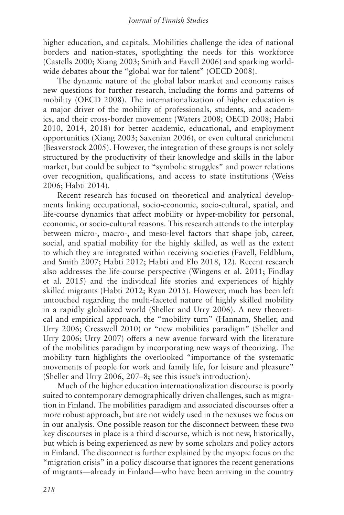higher education, and capitals. Mobilities challenge the idea of national borders and nation-states, spotlighting the needs for this workforce (Castells 2000; Xiang 2003; Smith and Favell 2006) and sparking worldwide debates about the "global war for talent" (OECD 2008).

The dynamic nature of the global labor market and economy raises new questions for further research, including the forms and patterns of mobility (OECD 2008). The internationalization of higher education is a major driver of the mobility of professionals, students, and academics, and their cross-border movement (Waters 2008; OECD 2008; Habti 2010, 2014, 2018) for better academic, educational, and employment opportunities (Xiang 2003; Saxenian 2006), or even cultural enrichment (Beaverstock 2005). However, the integration of these groups is not solely structured by the productivity of their knowledge and skills in the labor market, but could be subject to "symbolic struggles" and power relations over recognition, qualifications, and access to state institutions (Weiss 2006; Habti 2014).

Recent research has focused on theoretical and analytical developments linking occupational, socio-economic, socio-cultural, spatial, and life-course dynamics that affect mobility or hyper-mobility for personal, economic, or socio-cultural reasons. This research attends to the interplay between micro-, macro-, and meso-level factors that shape job, career, social, and spatial mobility for the highly skilled, as well as the extent to which they are integrated within receiving societies (Favell, Feldblum, and Smith 2007; Habti 2012; Habti and Elo 2018, 12). Recent research also addresses the life-course perspective (Wingens et al. 2011; Findlay et al. 2015) and the individual life stories and experiences of highly skilled migrants (Habti 2012; Ryan 2015). However, much has been left untouched regarding the multi-faceted nature of highly skilled mobility in a rapidly globalized world (Sheller and Urry 2006). A new theoretical and empirical approach, the "mobility turn" (Hannam, Sheller, and Urry 2006; Cresswell 2010) or "new mobilities paradigm" (Sheller and Urry 2006; Urry 2007) offers a new avenue forward with the literature of the mobilities paradigm by incorporating new ways of theorizing. The mobility turn highlights the overlooked "importance of the systematic movements of people for work and family life, for leisure and pleasure" (Sheller and Urry 2006, 207–8; see this issue's introduction).

Much of the higher education internationalization discourse is poorly suited to contemporary demographically driven challenges, such as migration in Finland. The mobilities paradigm and associated discourses offer a more robust approach, but are not widely used in the nexuses we focus on in our analysis. One possible reason for the disconnect between these two key discourses in place is a third discourse, which is not new, historically, but which is being experienced as new by some scholars and policy actors in Finland. The disconnect is further explained by the myopic focus on the "migration crisis" in a policy discourse that ignores the recent generations of migrants—already in Finland—who have been arriving in the country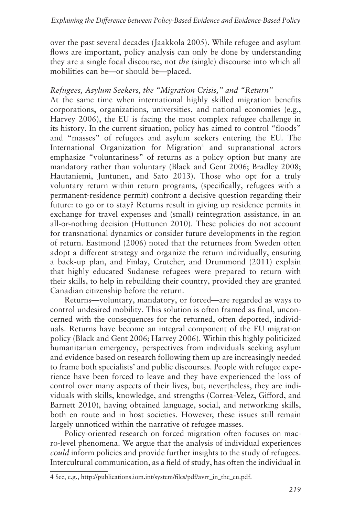over the past several decades (Jaakkola 2005). While refugee and asylum flows are important, policy analysis can only be done by understanding they are a single focal discourse, not *the* (single) discourse into which all mobilities can be—or should be—placed.

#### *Refugees, Asylum Seekers, the "Migration Crisis," and "Return"*

At the same time when international highly skilled migration benefits corporations, organizations, universities, and national economies (e.g., Harvey 2006), the EU is facing the most complex refugee challenge in its history. In the current situation, policy has aimed to control "floods" and "masses" of refugees and asylum seekers entering the EU. The International Organization for Migration<sup>4</sup> and supranational actors emphasize "voluntariness" of returns as a policy option but many are mandatory rather than voluntary (Black and Gent 2006; Bradley 2008; Hautaniemi, Juntunen, and Sato 2013). Those who opt for a truly voluntary return within return programs, (specifically, refugees with a permanent-residence permit) confront a decisive question regarding their future: to go or to stay? Returns result in giving up residence permits in exchange for travel expenses and (small) reintegration assistance, in an all-or-nothing decision (Huttunen 2010). These policies do not account for transnational dynamics or consider future developments in the region of return. Eastmond (2006) noted that the returnees from Sweden often adopt a different strategy and organize the return individually, ensuring a back-up plan, and Finlay, Crutcher, and Drummond (2011) explain that highly educated Sudanese refugees were prepared to return with their skills, to help in rebuilding their country, provided they are granted Canadian citizenship before the return.

Returns—voluntary, mandatory, or forced—are regarded as ways to control undesired mobility. This solution is often framed as final, unconcerned with the consequences for the returned, often deported, individuals. Returns have become an integral component of the EU migration policy (Black and Gent 2006; Harvey 2006). Within this highly politicized humanitarian emergency, perspectives from individuals seeking asylum and evidence based on research following them up are increasingly needed to frame both specialists' and public discourses. People with refugee experience have been forced to leave and they have experienced the loss of control over many aspects of their lives, but, nevertheless, they are individuals with skills, knowledge, and strengths (Correa-Velez, Gifford, and Barnett 2010), having obtained language, social, and networking skills, both en route and in host societies. However, these issues still remain largely unnoticed within the narrative of refugee masses.

Policy-oriented research on forced migration often focuses on macro-level phenomena. We argue that the analysis of individual experiences *could* inform policies and provide further insights to the study of refugees. Intercultural communication, as a field of study, has often the individual in

<sup>4</sup> See, e.g., http://publications.iom.int/system/files/pdf/avrr\_in\_the\_eu.pdf.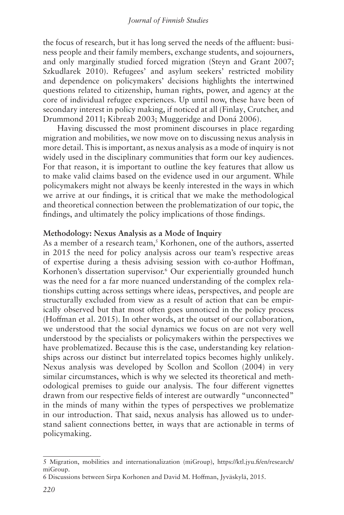the focus of research, but it has long served the needs of the affluent: business people and their family members, exchange students, and sojourners, and only marginally studied forced migration (Steyn and Grant 2007; Szkudlarek 2010). Refugees' and asylum seekers' restricted mobility and dependence on policymakers' decisions highlights the intertwined questions related to citizenship, human rights, power, and agency at the core of individual refugee experiences. Up until now, these have been of secondary interest in policy making, if noticed at all (Finlay, Crutcher, and Drummond 2011; Kibreab 2003; Muggeridge and Doná 2006).

Having discussed the most prominent discourses in place regarding migration and mobilities, we now move on to discussing nexus analysis in more detail. This is important, as nexus analysis as a mode of inquiry is not widely used in the disciplinary communities that form our key audiences. For that reason, it is important to outline the key features that allow us to make valid claims based on the evidence used in our argument. While policymakers might not always be keenly interested in the ways in which we arrive at our findings, it is critical that we make the methodological and theoretical connection between the problematization of our topic, the findings, and ultimately the policy implications of those findings.

#### **Methodology: Nexus Analysis as a Mode of Inquiry**

As a member of a research team,<sup>5</sup> Korhonen, one of the authors, asserted in 2015 the need for policy analysis across our team's respective areas of expertise during a thesis advising session with co-author Hoffman, Korhonen's dissertation supervisor.<sup>6</sup> Our experientially grounded hunch was the need for a far more nuanced understanding of the complex relationships cutting across settings where ideas, perspectives, and people are structurally excluded from view as a result of action that can be empirically observed but that most often goes unnoticed in the policy process (Hoffman et al. 2015). In other words, at the outset of our collaboration, we understood that the social dynamics we focus on are not very well understood by the specialists or policymakers within the perspectives we have problematized. Because this is the case, understanding key relationships across our distinct but interrelated topics becomes highly unlikely. Nexus analysis was developed by Scollon and Scollon (2004) in very similar circumstances, which is why we selected its theoretical and methodological premises to guide our analysis. The four different vignettes drawn from our respective fields of interest are outwardly "unconnected" in the minds of many within the types of perspectives we problematize in our introduction. That said, nexus analysis has allowed us to understand salient connections better, in ways that are actionable in terms of policymaking.

<sup>5</sup> Migration, mobilities and internationalization (miGroup), https://ktl.jyu.fi/en/research/ miGroup.

<sup>6</sup> Discussions between Sirpa Korhonen and David M. Hoffman, Jyväskylä, 2015.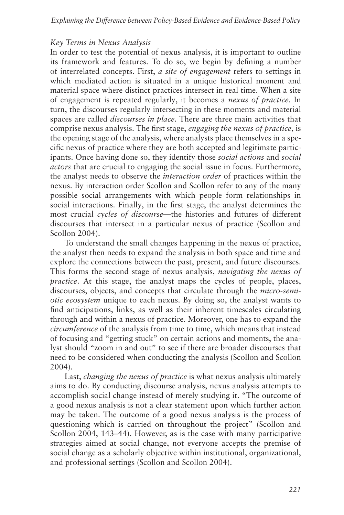#### *Key Terms in Nexus Analysis*

In order to test the potential of nexus analysis, it is important to outline its framework and features. To do so, we begin by defining a number of interrelated concepts. First, *a site of engagement* refers to settings in which mediated action is situated in a unique historical moment and material space where distinct practices intersect in real time. When a site of engagement is repeated regularly, it becomes a *nexus of practice*. In turn, the discourses regularly intersecting in these moments and material spaces are called *discourses in place.* There are three main activities that comprise nexus analysis. The first stage, *engaging the nexus of practice*, is the opening stage of the analysis, where analysts place themselves in a specific nexus of practice where they are both accepted and legitimate participants. Once having done so, they identify those *social actions* and *social actors* that are crucial to engaging the social issue in focus. Furthermore, the analyst needs to observe the *interaction order* of practices within the nexus. By interaction order Scollon and Scollon refer to any of the many possible social arrangements with which people form relationships in social interactions. Finally, in the first stage, the analyst determines the most crucial *cycles of discourse*—the histories and futures of different discourses that intersect in a particular nexus of practice (Scollon and Scollon 2004).

To understand the small changes happening in the nexus of practice, the analyst then needs to expand the analysis in both space and time and explore the connections between the past, present, and future discourses. This forms the second stage of nexus analysis, *navigating the nexus of practice*. At this stage, the analyst maps the cycles of people, places, discourses, objects, and concepts that circulate through the *micro-semiotic ecosystem* unique to each nexus. By doing so, the analyst wants to find anticipations, links, as well as their inherent timescales circulating through and within a nexus of practice. Moreover, one has to expand the *circumference* of the analysis from time to time, which means that instead of focusing and "getting stuck" on certain actions and moments, the analyst should "zoom in and out" to see if there are broader discourses that need to be considered when conducting the analysis (Scollon and Scollon 2004).

Last, *changing the nexus of practice* is what nexus analysis ultimately aims to do. By conducting discourse analysis, nexus analysis attempts to accomplish social change instead of merely studying it. "The outcome of a good nexus analysis is not a clear statement upon which further action may be taken. The outcome of a good nexus analysis is the process of questioning which is carried on throughout the project" (Scollon and Scollon 2004, 143–44). However, as is the case with many participative strategies aimed at social change, not everyone accepts the premise of social change as a scholarly objective within institutional, organizational, and professional settings (Scollon and Scollon 2004).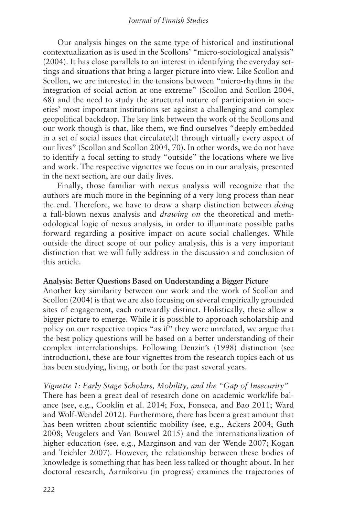Our analysis hinges on the same type of historical and institutional contextualization as is used in the Scollons' "micro-sociological analysis" (2004). It has close parallels to an interest in identifying the everyday settings and situations that bring a larger picture into view. Like Scollon and Scollon, we are interested in the tensions between "micro-rhythms in the integration of social action at one extreme" (Scollon and Scollon 2004, 68) and the need to study the structural nature of participation in societies' most important institutions set against a challenging and complex geopolitical backdrop. The key link between the work of the Scollons and our work though is that, like them, we find ourselves "deeply embedded in a set of social issues that circulate(d) through virtually every aspect of our lives" (Scollon and Scollon 2004, 70). In other words, we do not have to identify a focal setting to study "outside" the locations where we live and work. The respective vignettes we focus on in our analysis, presented in the next section, are our daily lives.

Finally, those familiar with nexus analysis will recognize that the authors are much more in the beginning of a very long process than near the end. Therefore, we have to draw a sharp distinction between *doing* a full-blown nexus analysis and *drawing on* the theoretical and methodological logic of nexus analysis, in order to illuminate possible paths forward regarding a positive impact on acute social challenges. While outside the direct scope of our policy analysis, this is a very important distinction that we will fully address in the discussion and conclusion of this article.

#### **Analysis: Better Questions Based on Understanding a Bigger Picture**

Another key similarity between our work and the work of Scollon and Scollon (2004) is that we are also focusing on several empirically grounded sites of engagement, each outwardly distinct. Holistically, these allow a bigger picture to emerge. While it is possible to approach scholarship and policy on our respective topics "as if" they were unrelated, we argue that the best policy questions will be based on a better understanding of their complex interrelationships. Following Denzin's (1998) distinction (see introduction), these are four vignettes from the research topics each of us has been studying, living, or both for the past several years.

#### *Vignette 1: Early Stage Scholars, Mobility, and the "Gap of Insecurity"*

There has been a great deal of research done on academic work/life balance (see, e.g., Cooklin et al. 2014; Fox, Fonseca, and Bao 2011; Ward and Wolf-Wendel 2012). Furthermore, there has been a great amount that has been written about scientific mobility (see, e.g., Ackers 2004; Guth 2008; Veugelers and Van Bouwel 2015) and the internationalization of higher education (see, e.g., Marginson and van der Wende 2007; Kogan and Teichler 2007). However, the relationship between these bodies of knowledge is something that has been less talked or thought about. In her doctoral research, Aarnikoivu (in progress) examines the trajectories of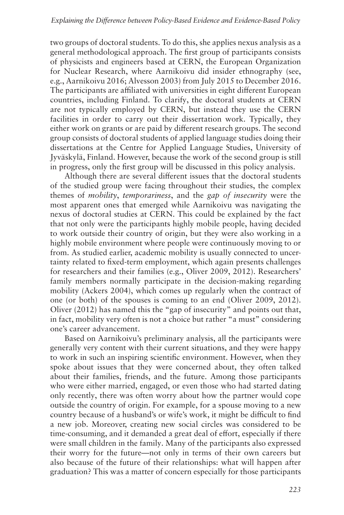two groups of doctoral students. To do this, she applies nexus analysis as a general methodological approach. The first group of participants consists of physicists and engineers based at CERN, the European Organization for Nuclear Research, where Aarnikoivu did insider ethnography (see, e.g., Aarnikoivu 2016; Alvesson 2003) from July 2015 to December 2016. The participants are affiliated with universities in eight different European countries, including Finland. To clarify, the doctoral students at CERN are not typically employed by CERN, but instead they use the CERN facilities in order to carry out their dissertation work. Typically, they either work on grants or are paid by different research groups. The second group consists of doctoral students of applied language studies doing their dissertations at the Centre for Applied Language Studies, University of Jyväskylä, Finland. However, because the work of the second group is still in progress, only the first group will be discussed in this policy analysis.

Although there are several different issues that the doctoral students of the studied group were facing throughout their studies, the complex themes of *mobility*, *temporariness*, and the *gap of insecurity* were the most apparent ones that emerged while Aarnikoivu was navigating the nexus of doctoral studies at CERN. This could be explained by the fact that not only were the participants highly mobile people, having decided to work outside their country of origin, but they were also working in a highly mobile environment where people were continuously moving to or from. As studied earlier, academic mobility is usually connected to uncertainty related to fixed-term employment, which again presents challenges for researchers and their families (e.g., Oliver 2009, 2012). Researchers' family members normally participate in the decision-making regarding mobility (Ackers 2004), which comes up regularly when the contract of one (or both) of the spouses is coming to an end (Oliver 2009, 2012). Oliver (2012) has named this the "gap of insecurity" and points out that, in fact, mobility very often is not a choice but rather "a must" considering one's career advancement.

Based on Aarnikoivu's preliminary analysis, all the participants were generally very content with their current situations, and they were happy to work in such an inspiring scientific environment. However, when they spoke about issues that they were concerned about, they often talked about their families, friends, and the future. Among those participants who were either married, engaged, or even those who had started dating only recently, there was often worry about how the partner would cope outside the country of origin. For example, for a spouse moving to a new country because of a husband's or wife's work, it might be difficult to find a new job. Moreover, creating new social circles was considered to be time-consuming, and it demanded a great deal of effort, especially if there were small children in the family. Many of the participants also expressed their worry for the future—not only in terms of their own careers but also because of the future of their relationships: what will happen after graduation? This was a matter of concern especially for those participants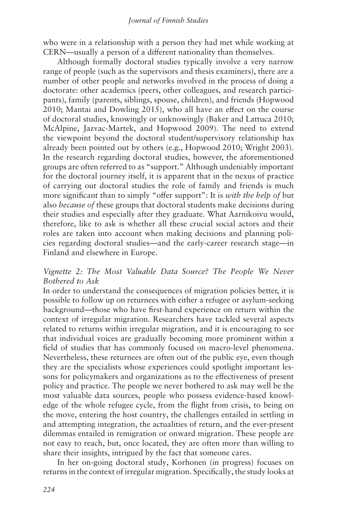who were in a relationship with a person they had met while working at CERN—usually a person of a different nationality than themselves.

Although formally doctoral studies typically involve a very narrow range of people (such as the supervisors and thesis examiners), there are a number of other people and networks involved in the process of doing a doctorate: other academics (peers, other colleagues, and research participants), family (parents, siblings, spouse, children), and friends (Hopwood 2010; Mantai and Dowling 2015), who all have an effect on the course of doctoral studies, knowingly or unknowingly (Baker and Lattuca 2010; McAlpine, Jazvac-Martek, and Hopwood 2009). The need to extend the viewpoint beyond the doctoral student/supervisory relationship has already been pointed out by others (e.g., Hopwood 2010; Wright 2003). In the research regarding doctoral studies, however, the aforementioned groups are often referred to as "support." Although undeniably important for the doctoral journey itself, it is apparent that in the nexus of practice of carrying out doctoral studies the role of family and friends is much more significant than to simply "offer support": It is *with the help of* but also *because of* these groups that doctoral students make decisions during their studies and especially after they graduate. What Aarnikoivu would, therefore, like to ask is whether all these crucial social actors and their roles are taken into account when making decisions and planning policies regarding doctoral studies—and the early-career research stage—in Finland and elsewhere in Europe.

#### *Vignette 2: The Most Valuable Data Source? The People We Never Bothered to Ask*

In order to understand the consequences of migration policies better, it is possible to follow up on returnees with either a refugee or asylum-seeking background—those who have first-hand experience on return within the context of irregular migration. Researchers have tackled several aspects related to returns within irregular migration, and it is encouraging to see that individual voices are gradually becoming more prominent within a field of studies that has commonly focused on macro-level phenomena. Nevertheless, these returnees are often out of the public eye, even though they are the specialists whose experiences could spotlight important lessons for policymakers and organizations as to the effectiveness of present policy and practice. The people we never bothered to ask may well be the most valuable data sources, people who possess evidence-based knowledge of the whole refugee cycle, from the flight from crisis, to being on the move, entering the host country, the challenges entailed in settling in and attempting integration, the actualities of return, and the ever-present dilemmas entailed in remigration or onward migration. These people are not easy to reach, but, once located, they are often more than willing to share their insights, intrigued by the fact that someone cares.

In her on-going doctoral study, Korhonen (in progress) focuses on returns in the context of irregular migration. Specifically, the study looks at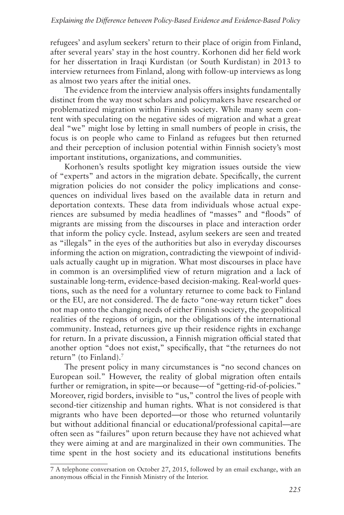refugees' and asylum seekers' return to their place of origin from Finland, after several years' stay in the host country. Korhonen did her field work for her dissertation in Iraqi Kurdistan (or South Kurdistan) in 2013 to interview returnees from Finland, along with follow-up interviews as long as almost two years after the initial ones.

The evidence from the interview analysis offers insights fundamentally distinct from the way most scholars and policymakers have researched or problematized migration within Finnish society. While many seem content with speculating on the negative sides of migration and what a great deal "we" might lose by letting in small numbers of people in crisis, the focus is on people who came to Finland as refugees but then returned and their perception of inclusion potential within Finnish society's most important institutions, organizations, and communities.

Korhonen's results spotlight key migration issues outside the view of "experts" and actors in the migration debate. Specifically, the current migration policies do not consider the policy implications and consequences on individual lives based on the available data in return and deportation contexts. These data from individuals whose actual experiences are subsumed by media headlines of "masses" and "floods" of migrants are missing from the discourses in place and interaction order that inform the policy cycle. Instead, asylum seekers are seen and treated as "illegals" in the eyes of the authorities but also in everyday discourses informing the action on migration, contradicting the viewpoint of individuals actually caught up in migration. What most discourses in place have in common is an oversimplified view of return migration and a lack of sustainable long-term, evidence-based decision-making. Real-world questions, such as the need for a voluntary returnee to come back to Finland or the EU, are not considered. The de facto "one-way return ticket" does not map onto the changing needs of either Finnish society, the geopolitical realities of the regions of origin, nor the obligations of the international community. Instead, returnees give up their residence rights in exchange for return. In a private discussion, a Finnish migration official stated that another option "does not exist," specifically, that "the returnees do not return" (to Finland).7

The present policy in many circumstances is "no second chances on European soil." However, the reality of global migration often entails further or remigration, in spite—or because—of "getting-rid-of-policies." Moreover, rigid borders, invisible to "us," control the lives of people with second-tier citizenship and human rights. What is not considered is that migrants who have been deported—or those who returned voluntarily but without additional financial or educational/professional capital—are often seen as "failures" upon return because they have not achieved what they were aiming at and are marginalized in their own communities. The time spent in the host society and its educational institutions benefits

<sup>7</sup> A telephone conversation on October 27, 2015, followed by an email exchange, with an anonymous official in the Finnish Ministry of the Interior.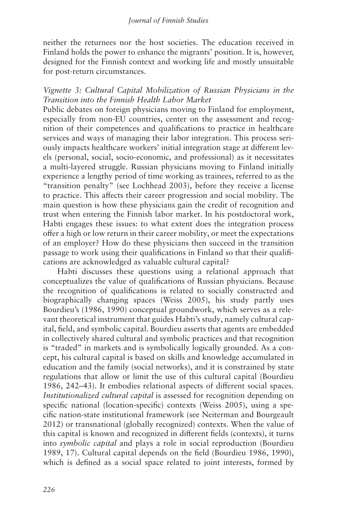neither the returnees nor the host societies. The education received in Finland holds the power to enhance the migrants' position. It is, however, designed for the Finnish context and working life and mostly unsuitable for post-return circumstances.

#### *Vignette 3: Cultural Capital Mobilization of Russian Physicians in the Transition into the Finnish Health Labor Market*

Public debates on foreign physicians moving to Finland for employment, especially from non-EU countries, center on the assessment and recognition of their competences and qualifications to practice in healthcare services and ways of managing their labor integration. This process seriously impacts healthcare workers' initial integration stage at different levels (personal, social, socio-economic, and professional) as it necessitates a multi-layered struggle. Russian physicians moving to Finland initially experience a lengthy period of time working as trainees, referred to as the "transition penalty" (see Lochhead 2003), before they receive a license to practice. This affects their career progression and social mobility. The main question is how these physicians gain the credit of recognition and trust when entering the Finnish labor market. In his postdoctoral work, Habti engages these issues: to what extent does the integration process offer a high or low return in their career mobility, or meet the expectations of an employer? How do these physicians then succeed in the transition passage to work using their qualifications in Finland so that their qualifications are acknowledged as valuable cultural capital?

Habti discusses these questions using a relational approach that conceptualizes the value of qualifications of Russian physicians. Because the recognition of qualifications is related to socially constructed and biographically changing spaces (Weiss 2005), his study partly uses Bourdieu's (1986, 1990) conceptual groundwork, which serves as a relevant theoretical instrument that guides Habti's study, namely cultural capital, field, and symbolic capital. Bourdieu asserts that agents are embedded in collectively shared cultural and symbolic practices and that recognition is "traded" in markets and is symbolically logically grounded. As a concept, his cultural capital is based on skills and knowledge accumulated in education and the family (social networks), and it is constrained by state regulations that allow or limit the use of this cultural capital (Bourdieu 1986, 242–43). It embodies relational aspects of different social spaces. *Institutionalized cultural capital* is assessed for recognition depending on specific national (location-specific) contexts (Weiss 2005), using a specific nation-state institutional framework (see Neiterman and Bourgeault 2012) or transnational (globally recognized) contexts. When the value of this capital is known and recognized in different fields (contexts), it turns into *symbolic capital* and plays a role in social reproduction (Bourdieu 1989, 17). Cultural capital depends on the field (Bourdieu 1986, 1990), which is defined as a social space related to joint interests, formed by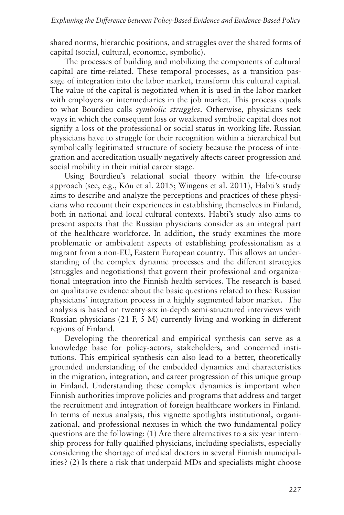shared norms, hierarchic positions, and struggles over the shared forms of capital (social, cultural, economic, symbolic).

The processes of building and mobilizing the components of cultural capital are time-related. These temporal processes, as a transition passage of integration into the labor market, transform this cultural capital. The value of the capital is negotiated when it is used in the labor market with employers or intermediaries in the job market. This process equals to what Bourdieu calls *symbolic struggles*. Otherwise, physicians seek ways in which the consequent loss or weakened symbolic capital does not signify a loss of the professional or social status in working life. Russian physicians have to struggle for their recognition within a hierarchical but symbolically legitimated structure of society because the process of integration and accreditation usually negatively affects career progression and social mobility in their initial career stage.

Using Bourdieu's relational social theory within the life-course approach (see, e.g., Kõu et al. 2015; Wingens et al. 2011), Habti's study aims to describe and analyze the perceptions and practices of these physicians who recount their experiences in establishing themselves in Finland, both in national and local cultural contexts. Habti's study also aims to present aspects that the Russian physicians consider as an integral part of the healthcare workforce. In addition, the study examines the more problematic or ambivalent aspects of establishing professionalism as a migrant from a non-EU, Eastern European country. This allows an understanding of the complex dynamic processes and the different strategies (struggles and negotiations) that govern their professional and organizational integration into the Finnish health services. The research is based on qualitative evidence about the basic questions related to these Russian physicians' integration process in a highly segmented labor market. The analysis is based on twenty-six in-depth semi-structured interviews with Russian physicians (21 F, 5 M) currently living and working in different regions of Finland.

Developing the theoretical and empirical synthesis can serve as a knowledge base for policy-actors, stakeholders, and concerned institutions. This empirical synthesis can also lead to a better, theoretically grounded understanding of the embedded dynamics and characteristics in the migration, integration, and career progression of this unique group in Finland. Understanding these complex dynamics is important when Finnish authorities improve policies and programs that address and target the recruitment and integration of foreign healthcare workers in Finland. In terms of nexus analysis, this vignette spotlights institutional, organizational, and professional nexuses in which the two fundamental policy questions are the following: (1) Are there alternatives to a six-year internship process for fully qualified physicians, including specialists, especially considering the shortage of medical doctors in several Finnish municipalities? (2) Is there a risk that underpaid MDs and specialists might choose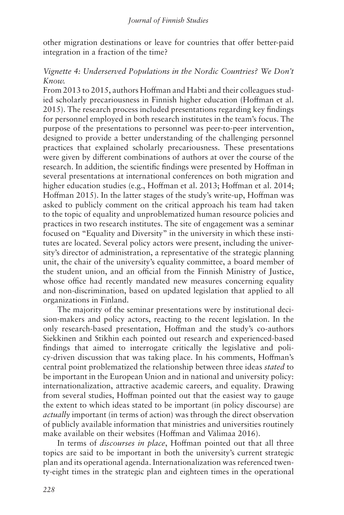other migration destinations or leave for countries that offer better-paid integration in a fraction of the time?

#### *Vignette 4: Underserved Populations in the Nordic Countries? We Don't Know.*

From 2013 to 2015, authors Hoffman and Habti and their colleagues studied scholarly precariousness in Finnish higher education (Hoffman et al. 2015). The research process included presentations regarding key findings for personnel employed in both research institutes in the team's focus. The purpose of the presentations to personnel was peer-to-peer intervention, designed to provide a better understanding of the challenging personnel practices that explained scholarly precariousness. These presentations were given by different combinations of authors at over the course of the research. In addition, the scientific findings were presented by Hoffman in several presentations at international conferences on both migration and higher education studies (e.g., Hoffman et al. 2013; Hoffman et al. 2014; Hoffman 2015). In the latter stages of the study's write-up, Hoffman was asked to publicly comment on the critical approach his team had taken to the topic of equality and unproblematized human resource policies and practices in two research institutes. The site of engagement was a seminar focused on "Equality and Diversity" in the university in which these institutes are located. Several policy actors were present, including the university's director of administration, a representative of the strategic planning unit, the chair of the university's equality committee, a board member of the student union, and an official from the Finnish Ministry of Justice, whose office had recently mandated new measures concerning equality and non-discrimination, based on updated legislation that applied to all organizations in Finland.

The majority of the seminar presentations were by institutional decision-makers and policy actors, reacting to the recent legislation. In the only research-based presentation, Hoffman and the study's co-authors Siekkinen and Stikhin each pointed out research and experienced-based findings that aimed to interrogate critically the legislative and policy-driven discussion that was taking place. In his comments, Hoffman's central point problematized the relationship between three ideas *stated* to be important in the European Union and in national and university policy: internationalization, attractive academic careers, and equality. Drawing from several studies, Hoffman pointed out that the easiest way to gauge the extent to which ideas stated to be important (in policy discourse) are *actually* important (in terms of action) was through the direct observation of publicly available information that ministries and universities routinely make available on their websites (Hoffman and Välimaa 2016).

In terms of *discourses in place*, Hoffman pointed out that all three topics are said to be important in both the university's current strategic plan and its operational agenda. Internationalization was referenced twenty-eight times in the strategic plan and eighteen times in the operational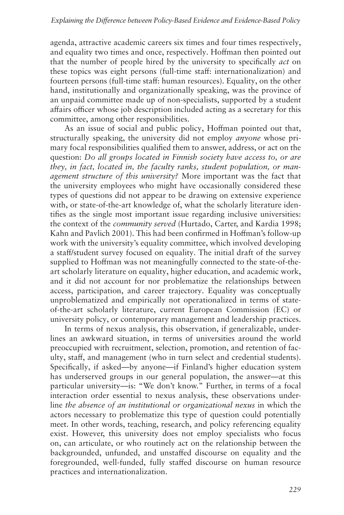agenda, attractive academic careers six times and four times respectively, and equality two times and once, respectively. Hoffman then pointed out that the number of people hired by the university to specifically *act* on these topics was eight persons (full-time staff: internationalization) and fourteen persons (full-time staff: human resources). Equality, on the other hand, institutionally and organizationally speaking, was the province of an unpaid committee made up of non-specialists, supported by a student affairs officer whose job description included acting as a secretary for this committee, among other responsibilities.

As an issue of social and public policy, Hoffman pointed out that, structurally speaking, the university did not employ *anyone* whose primary focal responsibilities qualified them to answer, address, or act on the question: *Do all groups located in Finnish society have access to, or are they, in fact, located in, the faculty ranks, student population, or management structure of this university?* More important was the fact that the university employees who might have occasionally considered these types of questions did not appear to be drawing on extensive experience with, or state-of-the-art knowledge of, what the scholarly literature identifies as the single most important issue regarding inclusive universities: the context of the *community served* (Hurtado, Carter, and Kardia 1998; Kahn and Pavlich 2001). This had been confirmed in Hoffman's follow-up work with the university's equality committee, which involved developing a staff/student survey focused on equality. The initial draft of the survey supplied to Hoffman was not meaningfully connected to the state-of-theart scholarly literature on equality, higher education, and academic work, and it did not account for nor problematize the relationships between access, participation, and career trajectory. Equality was conceptually unproblematized and empirically not operationalized in terms of stateof-the-art scholarly literature, current European Commission (EC) or university policy, or contemporary management and leadership practices.

In terms of nexus analysis, this observation, if generalizable, underlines an awkward situation, in terms of universities around the world preoccupied with recruitment, selection, promotion, and retention of faculty, staff, and management (who in turn select and credential students). Specifically, if asked—by anyone—if Finland's higher education system has underserved groups in our general population, the answer—at this particular university—is: "We don't know." Further, in terms of a focal interaction order essential to nexus analysis, these observations underline *the absence of an institutional or organizational nexus* in which the actors necessary to problematize this type of question could potentially meet. In other words, teaching, research, and policy referencing equality exist. However, this university does not employ specialists who focus on, can articulate, or who routinely act on the relationship between the backgrounded, unfunded, and unstaffed discourse on equality and the foregrounded, well-funded, fully staffed discourse on human resource practices and internationalization.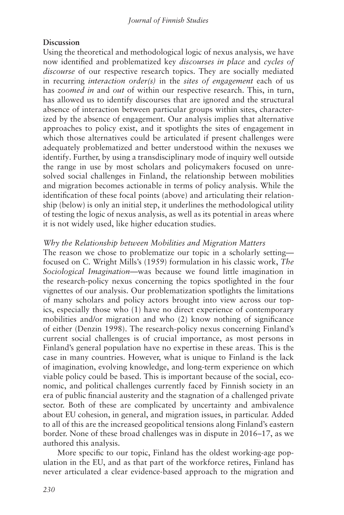#### **Discussion**

Using the theoretical and methodological logic of nexus analysis, we have now identified and problematized key *discourses in place* and *cycles of discourse* of our respective research topics. They are socially mediated in recurring *interaction order(s)* in the *sites of engagement* each of us has *zoomed in* and *out* of within our respective research. This, in turn, has allowed us to identify discourses that are ignored and the structural absence of interaction between particular groups within sites, characterized by the absence of engagement. Our analysis implies that alternative approaches to policy exist, and it spotlights the sites of engagement in which those alternatives could be articulated if present challenges were adequately problematized and better understood within the nexuses we identify. Further, by using a transdisciplinary mode of inquiry well outside the range in use by most scholars and policymakers focused on unresolved social challenges in Finland, the relationship between mobilities and migration becomes actionable in terms of policy analysis. While the identification of these focal points (above) and articulating their relationship (below) is only an initial step, it underlines the methodological utility of testing the logic of nexus analysis, as well as its potential in areas where it is not widely used, like higher education studies.

#### *Why the Relationship between Mobilities and Migration Matters*

The reason we chose to problematize our topic in a scholarly setting focused on C. Wright Mills's (1959) formulation in his classic work, *The Sociological Imagination*—was because we found little imagination in the research-policy nexus concerning the topics spotlighted in the four vignettes of our analysis. Our problematization spotlights the limitations of many scholars and policy actors brought into view across our topics, especially those who (1) have no direct experience of contemporary mobilities and/or migration and who (2) know nothing of significance of either (Denzin 1998). The research-policy nexus concerning Finland's current social challenges is of crucial importance, as most persons in Finland's general population have no expertise in these areas. This is the case in many countries. However, what is unique to Finland is the lack of imagination, evolving knowledge, and long-term experience on which viable policy could be based. This is important because of the social, economic, and political challenges currently faced by Finnish society in an era of public financial austerity and the stagnation of a challenged private sector. Both of these are complicated by uncertainty and ambivalence about EU cohesion, in general, and migration issues, in particular. Added to all of this are the increased geopolitical tensions along Finland's eastern border. None of these broad challenges was in dispute in 2016–17, as we authored this analysis.

More specific to our topic, Finland has the oldest working-age population in the EU, and as that part of the workforce retires, Finland has never articulated a clear evidence-based approach to the migration and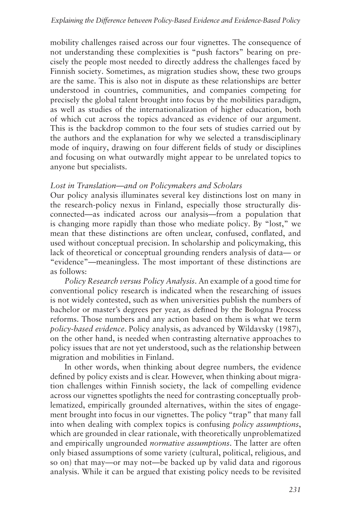mobility challenges raised across our four vignettes. The consequence of not understanding these complexities is "push factors" bearing on precisely the people most needed to directly address the challenges faced by Finnish society. Sometimes, as migration studies show, these two groups are the same. This is also not in dispute as these relationships are better understood in countries, communities, and companies competing for precisely the global talent brought into focus by the mobilities paradigm, as well as studies of the internationalization of higher education, both of which cut across the topics advanced as evidence of our argument. This is the backdrop common to the four sets of studies carried out by the authors and the explanation for why we selected a transdisciplinary mode of inquiry, drawing on four different fields of study or disciplines and focusing on what outwardly might appear to be unrelated topics to anyone but specialists.

#### *Lost in Translation—and on Policymakers and Scholars*

Our policy analysis illuminates several key distinctions lost on many in the research-policy nexus in Finland, especially those structurally disconnected—as indicated across our analysis—from a population that is changing more rapidly than those who mediate policy. By "lost," we mean that these distinctions are often unclear, confused, conflated, and used without conceptual precision. In scholarship and policymaking, this lack of theoretical or conceptual grounding renders analysis of data— or "evidence"—meaningless. The most important of these distinctions are as follows:

*Policy Research versus Policy Analysis*. An example of a good time for conventional policy research is indicated when the researching of issues is not widely contested, such as when universities publish the numbers of bachelor or master's degrees per year, as defined by the Bologna Process reforms. Those numbers and any action based on them is what we term *policy-based evidence*. Policy analysis, as advanced by Wildavsky (1987), on the other hand, is needed when contrasting alternative approaches to policy issues that are not yet understood, such as the relationship between migration and mobilities in Finland.

In other words, when thinking about degree numbers, the evidence defined by policy exists and is clear. However, when thinking about migration challenges within Finnish society, the lack of compelling evidence across our vignettes spotlights the need for contrasting conceptually problematized, empirically grounded alternatives, within the sites of engagement brought into focus in our vignettes. The policy "trap" that many fall into when dealing with complex topics is confusing *policy assumptions*, which are grounded in clear rationale, with theoretically unproblematized and empirically ungrounded *normative assumptions*. The latter are often only biased assumptions of some variety (cultural, political, religious, and so on) that may—or may not—be backed up by valid data and rigorous analysis. While it can be argued that existing policy needs to be revisited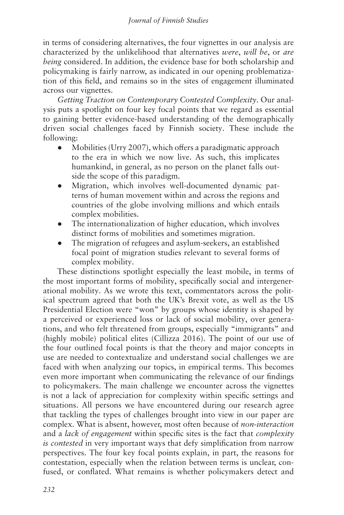in terms of considering alternatives, the four vignettes in our analysis are characterized by the unlikelihood that alternatives *were*, *will be*, or *are being* considered. In addition, the evidence base for both scholarship and policymaking is fairly narrow, as indicated in our opening problematization of this field, and remains so in the sites of engagement illuminated across our vignettes.

*Getting Traction on Contemporary Contested Complexity*. Our analysis puts a spotlight on four key focal points that we regard as essential to gaining better evidence-based understanding of the demographically driven social challenges faced by Finnish society. These include the following:

- Mobilities (Urry 2007), which offers a paradigmatic approach to the era in which we now live. As such, this implicates humankind, in general, as no person on the planet falls outside the scope of this paradigm.
- Migration, which involves well-documented dynamic patterns of human movement within and across the regions and countries of the globe involving millions and which entails complex mobilities.
- The internationalization of higher education, which involves distinct forms of mobilities and sometimes migration.
- The migration of refugees and asylum-seekers, an established focal point of migration studies relevant to several forms of complex mobility.

These distinctions spotlight especially the least mobile, in terms of the most important forms of mobility, specifically social and intergenerational mobility. As we wrote this text, commentators across the political spectrum agreed that both the UK's Brexit vote, as well as the US Presidential Election were "won" by groups whose identity is shaped by a perceived or experienced loss or lack of social mobility, over generations, and who felt threatened from groups, especially "immigrants" and (highly mobile) political elites (Cillizza 2016). The point of our use of the four outlined focal points is that the theory and major concepts in use are needed to contextualize and understand social challenges we are faced with when analyzing our topics, in empirical terms. This becomes even more important when communicating the relevance of our findings to policymakers. The main challenge we encounter across the vignettes is not a lack of appreciation for complexity within specific settings and situations. All persons we have encountered during our research agree that tackling the types of challenges brought into view in our paper are complex. What is absent, however, most often because of *non-interaction* and a *lack of engagement* within specific sites is the fact that *complexity is contested* in very important ways that defy simplification from narrow perspectives. The four key focal points explain, in part, the reasons for contestation, especially when the relation between terms is unclear, confused, or conflated. What remains is whether policymakers detect and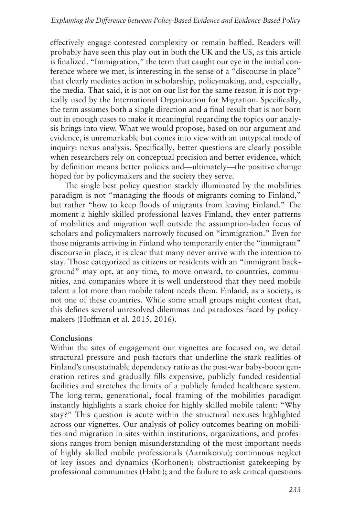effectively engage contested complexity or remain baffled. Readers will probably have seen this play out in both the UK and the US, as this article is finalized. "Immigration," the term that caught our eye in the initial conference where we met, is interesting in the sense of a "discourse in place" that clearly mediates action in scholarship, policymaking, and, especially, the media. That said, it is not on our list for the same reason it is not typically used by the International Organization for Migration. Specifically, the term assumes both a single direction and a final result that is not born out in enough cases to make it meaningful regarding the topics our analysis brings into view. What we would propose, based on our argument and evidence, is unremarkable but comes into view with an untypical mode of inquiry: nexus analysis. Specifically, better questions are clearly possible when researchers rely on conceptual precision and better evidence, which by definition means better policies and—ultimately—the positive change hoped for by policymakers and the society they serve.

The single best policy question starkly illuminated by the mobilities paradigm is not "managing the floods of migrants coming to Finland," but rather "how to keep floods of migrants from leaving Finland." The moment a highly skilled professional leaves Finland, they enter patterns of mobilities and migration well outside the assumption-laden focus of scholars and policymakers narrowly focused on "immigration." Even for those migrants arriving in Finland who temporarily enter the "immigrant" discourse in place, it is clear that many never arrive with the intention to stay. Those categorized as citizens or residents with an "immigrant background" may opt, at any time, to move onward, to countries, communities, and companies where it is well understood that they need mobile talent a lot more than mobile talent needs them. Finland, as a society, is not one of these countries. While some small groups might contest that, this defines several unresolved dilemmas and paradoxes faced by policymakers (Hoffman et al. 2015, 2016).

#### **Conclusions**

Within the sites of engagement our vignettes are focused on, we detail structural pressure and push factors that underline the stark realities of Finland's unsustainable dependency ratio as the post-war baby-boom generation retires and gradually fills expensive, publicly funded residential facilities and stretches the limits of a publicly funded healthcare system. The long-term, generational, focal framing of the mobilities paradigm instantly highlights a stark choice for highly skilled mobile talent: "Why stay?" This question is acute within the structural nexuses highlighted across our vignettes. Our analysis of policy outcomes bearing on mobilities and migration in sites within institutions, organizations, and professions ranges from benign misunderstanding of the most important needs of highly skilled mobile professionals (Aarnikoivu); continuous neglect of key issues and dynamics (Korhonen); obstructionist gatekeeping by professional communities (Habti); and the failure to ask critical questions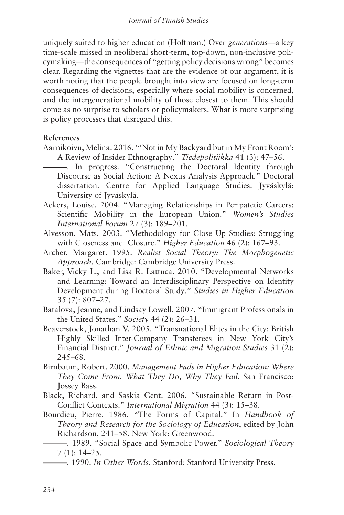uniquely suited to higher education (Hoffman.) Over *generations*—a key time-scale missed in neoliberal short-term, top-down, non-inclusive policymaking—the consequences of "getting policy decisions wrong" becomes clear. Regarding the vignettes that are the evidence of our argument, it is worth noting that the people brought into view are focused on long-term consequences of decisions, especially where social mobility is concerned, and the intergenerational mobility of those closest to them. This should come as no surprise to scholars or policymakers. What is more surprising is policy processes that disregard this.

#### **References**

- Aarnikoivu, Melina. 2016. "'Not in My Backyard but in My Front Room': A Review of Insider Ethnography." *Tiedepolitiikka* 41 (3): 47–56.
- ———. In progress. "Constructing the Doctoral Identity through Discourse as Social Action: A Nexus Analysis Approach*.*" Doctoral dissertation. Centre for Applied Language Studies. Jyväskylä: University of Jyväskylä.
- Ackers, Louise. 2004. "Managing Relationships in Peripatetic Careers: Scientific Mobility in the European Union." *Women's Studies International Forum* 27 (3): 189–201.
- Alvesson, Mats. 2003. "Methodology for Close Up Studies: Struggling with Closeness and Closure." *Higher Education* 46 (2): 167–93.
- Archer, Margaret. 1995. *Realist Social Theory: The Morphogenetic Approach.* Cambridge: Cambridge University Press.
- Baker, Vicky L., and Lisa R. Lattuca. 2010. "Developmental Networks and Learning: Toward an Interdisciplinary Perspective on Identity Development during Doctoral Study." *Studies in Higher Education* 35 (7): 807–27.
- Batalova, Jeanne, and Lindsay Lowell. 2007. "Immigrant Professionals in the United States." *Society* 44 (2): 26–31.
- Beaverstock, Jonathan V. 2005. "Transnational Elites in the City: British Highly Skilled Inter-Company Transferees in New York City's Financial District." *Journal of Ethnic and Migration Studies* 31 (2): 245–68.
- Birnbaum, Robert. 2000. *Management Fads in Higher Education: Where They Come From, What They Do, Why They Fail.* San Francisco: Jossey Bass.
- Black, Richard, and Saskia Gent. 2006. "Sustainable Return in Post-Conflict Contexts." *International Migration* 44 (3): 15–38.
- Bourdieu, Pierre. 1986. "The Forms of Capital." In *Handbook of Theory and Research for the Sociology of Education*, edited by John Richardson, 241–58. New York: Greenwood.

<sup>———. 1989. &</sup>quot;Social Space and Symbolic Power." *Sociological Theory* 7 (1): 14–25.

<sup>———. 1990.</sup> *In Other Words*. Stanford: Stanford University Press.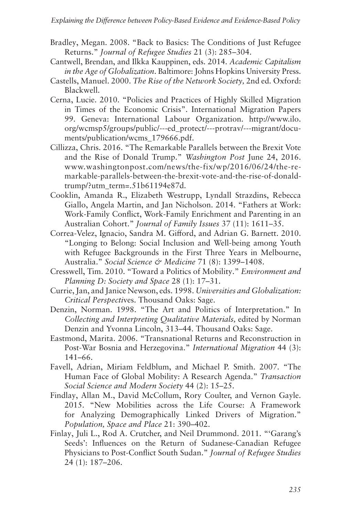- Bradley, Megan. 2008. "Back to Basics: The Conditions of Just Refugee Returns." *Journal of Refugee Studies* 21 (3): 285–304.
- Cantwell, Brendan, and Ilkka Kauppinen, eds. 2014. *Academic Capitalism in the Age of Globalization*. Baltimore: Johns Hopkins University Press.
- Castells, Manuel. 2000. *The Rise of the Network Society,* 2nd ed*.* Oxford: Blackwell.
- Cerna, Lucie. 2010. "Policies and Practices of Highly Skilled Migration in Times of the Economic Crisis". International Migration Papers 99. Geneva: International Labour Organization. http://www.ilo. org/wcmsp5/groups/public/---ed\_protect/---protrav/---migrant/documents/publication/wcms\_179666.pdf.
- Cillizza, Chris. 2016. "The Remarkable Parallels between the Brexit Vote and the Rise of Donald Trump." *Washington Post* June 24, 2016. www.washingtonpost.com/news/the-fix/wp/2016/06/24/the-remarkable-parallels-between-the-brexit-vote-and-the-rise-of-donaldtrump/?utm\_term=.51b61194e87d.
- Cooklin, Amanda R., Elizabeth Westrupp, Lyndall Strazdins, Rebecca Giallo, Angela Martin, and Jan Nicholson. 2014. "Fathers at Work: Work-Family Conflict, Work-Family Enrichment and Parenting in an Australian Cohort." *Journal of Family Issues* 37 (11): 1611–35.
- Correa-Velez, Ignacio, Sandra M. Gifford, and Adrian G. Barnett. 2010. "Longing to Belong: Social Inclusion and Well-being among Youth with Refugee Backgrounds in the First Three Years in Melbourne, Australia." *Social Science & Medicine* 71 (8): 1399–1408.
- Cresswell, Tim. 2010. "Toward a Politics of Mobility." *Environment and Planning D: Society and Space* 28 (1): 17–31.
- Currie, Jan, and Janice Newson, eds. 1998. *Universities and Globalization: Critical Perspecti*ves. Thousand Oaks: Sage.
- Denzin, Norman. 1998. "The Art and Politics of Interpretation." In *Collecting and Interpreting Qualitative Materials,* edited by Norman Denzin and Yvonna Lincoln, 313–44. Thousand Oaks: Sage.
- Eastmond, Marita. 2006. "Transnational Returns and Reconstruction in Post-War Bosnia and Herzegovina." *International Migration* 44 (3): 141–66.
- Favell, Adrian, Miriam Feldblum, and Michael P. Smith. 2007. "The Human Face of Global Mobility: A Research Agenda." *Transaction Social Science and Modern Society* 44 (2): 15–25.
- Findlay, Allan M., David McCollum, Rory Coulter, and Vernon Gayle. 2015. "New Mobilities across the Life Course: A Framework for Analyzing Demographically Linked Drivers of Migration." *Population, Space and Place* 21: 390–402.
- Finlay, Juli L., Rod A. Crutcher, and Neil Drummond. 2011. "'Garang's Seeds': Influences on the Return of Sudanese-Canadian Refugee Physicians to Post-Conflict South Sudan." *Journal of Refugee Studies* 24 (1): 187–206.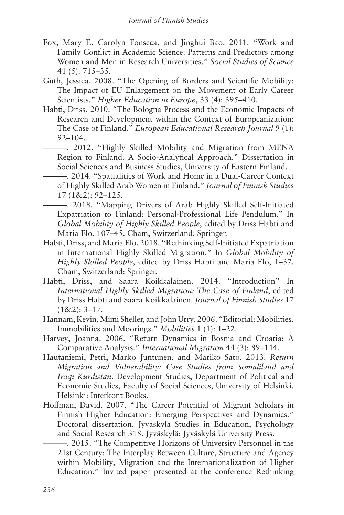- Fox, Mary F., Carolyn Fonseca, and Jinghui Bao. 2011. "Work and Family Conflict in Academic Science: Patterns and Predictors among Women and Men in Research Universities." *Social Studies of Science* 41 (5): 715–35.
- Guth, Jessica. 2008. "The Opening of Borders and Scientific Mobility: The Impact of EU Enlargement on the Movement of Early Career Scientists." *Higher Education in Europe*, 33 (4): 395–410.
- Habti, Driss. 2010. "The Bologna Process and the Economic Impacts of Research and Development within the Context of Europeanization: The Case of Finland." *European Educational Research Journal* 9 (1): 92–104.
	- ———. 2012. "Highly Skilled Mobility and Migration from MENA Region to Finland: A Socio-Analytical Approach." Dissertation in Social Sciences and Business Studies, University of Eastern Finland.
- ———. 2014. "Spatialities of Work and Home in a Dual-Career Context of Highly Skilled Arab Women in Finland." *Journal of Finnish Studies*  17 (1&2): 92–125.
- ———. 2018. "Mapping Drivers of Arab Highly Skilled Self-Initiated Expatriation to Finland: Personal-Professional Life Pendulum." In *Global Mobility of Highly Skilled People*, edited by Driss Habti and Maria Elo, 107–45. Cham, Switzerland: Springer.
- Habti, Driss, and Maria Elo. 2018. "Rethinking Self-Initiated Expatriation in International Highly Skilled Migration." In *Global Mobility of Highly Skilled People*, edited by Driss Habti and Maria Elo, 1–37. Cham, Switzerland: Springer.
- Habti, Driss, and Saara Koikkalainen. 2014. "Introduction" In *International Highly Skilled Migration: The Case of Finland*, edited by Driss Habti and Saara Koikkalainen. *Journal of Finnish Studies* 17  $(1&2): 3-17.$
- Hannam, Kevin, Mimi Sheller, and John Urry. 2006. "Editorial: Mobilities, Immobilities and Moorings." *Mobilities* 1 (1): 1–22.
- Harvey, Joanna. 2006. "Return Dynamics in Bosnia and Croatia: A Comparative Analysis." *International Migration* 44 (3): 89–144.
- Hautaniemi, Petri, Marko Juntunen, and Mariko Sato. 2013. *Return Migration and Vulnerability: Case Studies from Somaliland and Iraqi Kurdistan*. Development Studies, Department of Political and Economic Studies, Faculty of Social Sciences, University of Helsinki. Helsinki: Interkont Books.
- Hoffman, David. 2007. "The Career Potential of Migrant Scholars in Finnish Higher Education: Emerging Perspectives and Dynamics*.*" Doctoral dissertation. Jyväskylä Studies in Education, Psychology and Social Research 318. Jyväskylä: Jyväskylä University Press.

———. 2015. "The Competitive Horizons of University Personnel in the 21st Century: The Interplay Between Culture, Structure and Agency within Mobility, Migration and the Internationalization of Higher Education." Invited paper presented at the conference Rethinking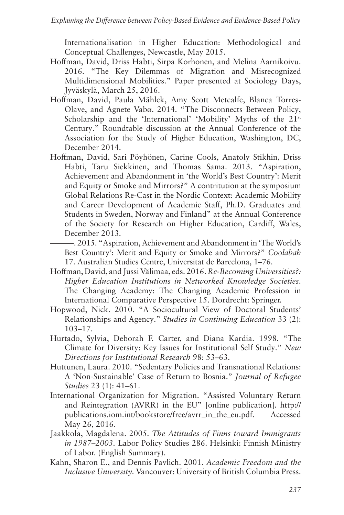Internationalisation in Higher Education: Methodological and Conceptual Challenges, Newcastle, May 2015.

- Hoffman, David, Driss Habti, Sirpa Korhonen, and Melina Aarnikoivu. 2016. "The Key Dilemmas of Migration and Misrecognized Multidimensional Mobilities." Paper presented at Sociology Days, Jyväskylä, March 25, 2016.
- Hoffman, David, Paula Mählck, Amy Scott Metcalfe, Blanca Torres-Olave, and Agnete Vabø. 2014. "The Disconnects Between Policy, Scholarship and the 'International' 'Mobility' Myths of the 21<sup>st</sup> Century." Roundtable discussion at the Annual Conference of the Association for the Study of Higher Education, Washington, DC, December 2014.
- Hoffman, David, Sari Pöyhönen, Carine Cools, Anatoly Stikhin, Driss Habti, Taru Siekkinen, and Thomas Sama. 2013. "Aspiration, Achievement and Abandonment in 'the World's Best Country': Merit and Equity or Smoke and Mirrors?" A contritution at the symposium Global Relations Re-Cast in the Nordic Context: Academic Mobility and Career Development of Academic Staff, Ph.D. Graduates and Students in Sweden, Norway and Finland" at the Annual Conference of the Society for Research on Higher Education, Cardiff, Wales, December 2013.
	- ———. 2015. "Aspiration, Achievement and Abandonment in 'The World's Best Country': Merit and Equity or Smoke and Mirrors?" *Coolabah*  17. Australian Studies Centre, Universitat de Barcelona, 1–76.
- Hoffman, David, and Jussi Välimaa, eds. 2016. *Re-Becoming Universities?: Higher Education Institutions in Networked Knowledge Societies*. The Changing Academy: The Changing Academic Profession in International Comparative Perspective 15. Dordrecht: Springer.
- Hopwood, Nick. 2010. "A Sociocultural View of Doctoral Students' Relationships and Agency." *Studies in Continuing Education* 33 (2): 103–17.
- Hurtado, Sylvia, Deborah F. Carter, and Diana Kardia. 1998. "The Climate for Diversity: Key Issues for Institutional Self Study." *New Directions for Institutional Research* 98: 53–63.
- Huttunen, Laura. 2010. "Sedentary Policies and Transnational Relations: A 'Non-Sustainable' Case of Return to Bosnia." *Journal of Refugee Studies* 23 (1): 41–61.
- International Organization for Migration. "Assisted Voluntary Return and Reintegration (AVRR) in the EU" [online publication]. http:// publications.iom.int/bookstore/free/avrr\_in\_the\_eu.pdf. Accessed May 26, 2016.
- Jaakkola, Magdalena. 2005. *The Attitudes of Finns toward Immigrants in 1987–2003.* Labor Policy Studies 286. Helsinki: Finnish Ministry of Labor. (English Summary).
- Kahn, Sharon E., and Dennis Pavlich. 2001. *Academic Freedom and the Inclusive University.* Vancouver: University of British Columbia Press.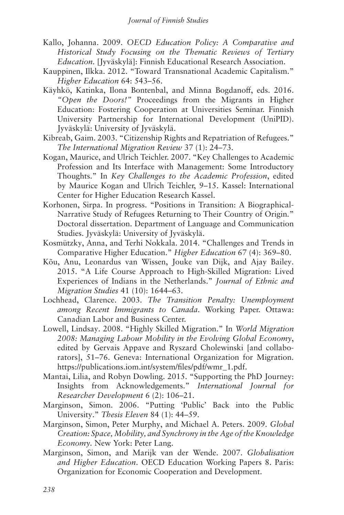- Kallo, Johanna. 2009. *OECD Education Policy: A Comparative and Historical Study Focusing on the Thematic Reviews of Tertiary Education.* [Jyväskylä]: Finnish Educational Research Association.
- Kauppinen, Ilkka. 2012. "Toward Transnational Academic Capitalism." *Higher Education* 64: 543–56.
- Käyhkö, Katinka, Ilona Bontenbal, and Minna Bogdanoff, eds. 2016. *"Open the Doors!"* Proceedings from the Migrants in Higher Education: Fostering Cooperation at Universities Seminar. Finnish University Partnership for International Development (UniPID). Jyväskylä: University of Jyväskylä.
- Kibreab, Gaim. 2003. "Citizenship Rights and Repatriation of Refugees." *The International Migration Review* 37 (1): 24–73.
- Kogan, Maurice, and Ulrich Teichler. 2007. "Key Challenges to Academic Profession and Its Interface with Management: Some Introductory Thoughts." In *Key Challenges to the Academic Profession*, edited by Maurice Kogan and Ulrich Teichler, 9–15. Kassel: International Center for Higher Education Research Kassel.
- Korhonen, Sirpa. In progress. "Positions in Transition: A Biographical-Narrative Study of Refugees Returning to Their Country of Origin*.*" Doctoral dissertation. Department of Language and Communication Studies. Jyväskylä: University of Jyväskylä.
- Kosmützky, Anna, and Terhi Nokkala. 2014. "Challenges and Trends in Comparative Higher Education." *Higher Education* 67 (4): 369–80.
- Kõu, Anu, Leonardus van Wissen, Jouke van Dijk, and Ajay Bailey. 2015. "A Life Course Approach to High-Skilled Migration: Lived Experiences of Indians in the Netherlands." *Journal of Ethnic and Migration Studies* 41 (10): 1644–63.
- Lochhead, Clarence. 2003. *The Transition Penalty: Unemployment among Recent Immigrants to Canada*. Working Paper. Ottawa: Canadian Labor and Business Center.
- Lowell, Lindsay. 2008. "Highly Skilled Migration." In *World Migration 2008: Managing Labour Mobility in the Evolving Global Economy*, edited by Gervais Appave and Ryszard Cholewinski [and collaborators], 51–76. Geneva: International Organization for Migration. https://publications.iom.int/system/files/pdf/wmr\_1.pdf.
- Mantai, Lilia, and Robyn Dowling. 2015. "Supporting the PhD Journey: Insights from Acknowledgements." *International Journal for Researcher Development* 6 (2): 106–21.
- Marginson, Simon. 2006. "Putting 'Public' Back into the Public University." *Thesis Eleven* 84 (1): 44–59.
- Marginson, Simon, Peter Murphy, and Michael A. Peters. 2009. *Global Creation: Space, Mobility, and Synchrony in the Age of the Knowledge Economy.* New York: Peter Lang.
- Marginson, Simon, and Marijk van der Wende. 2007. *Globalisation and Higher Education*. OECD Education Working Papers 8. Paris: Organization for Economic Cooperation and Development.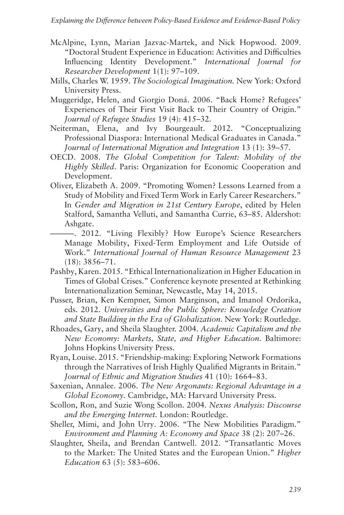- McAlpine, Lynn, Marian Jazvac-Martek, and Nick Hopwood. 2009. "Doctoral Student Experience in Education: Activities and Difficulties Influencing Identity Development." *International Journal for Researcher Development* 1(1): 97–109.
- Mills, Charles W. 1959. *The Sociological Imagination.* New York: Oxford University Press.
- Muggeridge, Helen, and Giorgio Doná. 2006. "Back Home? Refugees' Experiences of Their First Visit Back to Their Country of Origin." *Journal of Refugee Studies* 19 (4): 415–32.
- Neiterman, Elena, and Ivy Bourgeault. 2012. "Conceptualizing Professional Diaspora: International Medical Graduates in Canada." *Journal of International Migration and Integration* 13 (1): 39–57.
- OECD. 2008. *The Global Competition for Talent: Mobility of the Highly Skilled*. Paris: Organization for Economic Cooperation and Development.
- Oliver, Elizabeth A. 2009. "Promoting Women? Lessons Learned from a Study of Mobility and Fixed Term Work in Early Career Researchers." In *Gender and Migration in 21st Century Europe*, edited by Helen Stalford, Samantha Velluti, and Samantha Currie, 63–85. Aldershot: Ashgate.
	- ———. 2012. "Living Flexibly? How Europe's Science Researchers Manage Mobility, Fixed-Term Employment and Life Outside of Work." *International Journal of Human Resource Management* 23 (18): 3856–71.
- Pashby, Karen. 2015. "Ethical Internationalization in Higher Education in Times of Global Crises." Conference keynote presented at Rethinking Internationalization Seminar, Newcastle, May 14, 2015.
- Pusser, Brian, Ken Kempner, Simon Marginson, and Imanol Ordorika, eds. 2012. *Universities and the Public Sphere: Knowledge Creation and State Building in the Era of Globalization*. New York: Routledge.
- Rhoades, Gary, and Sheila Slaughter. 2004. *Academic Capitalism and the New Economy: Markets, State, and Higher Education.* Baltimore: Johns Hopkins University Press.
- Ryan, Louise. 2015. "Friendship-making: Exploring Network Formations through the Narratives of Irish Highly Qualified Migrants in Britain." *Journal of Ethnic and Migration Studies* 41 (10): 1664–83.
- Saxenian, Annalee. 2006. *The New Argonauts: Regional Advantage in a Global Economy*. Cambridge, MA: Harvard University Press.
- Scollon, Ron, and Suzie Wong Scollon. 2004. *Nexus Analysis: Discourse and the Emerging Internet.* London: Routledge.
- Sheller, Mimi, and John Urry. 2006. "The New Mobilities Paradigm." *Environment and Planning A: Economy and Space* 38 (2): 207–26.
- Slaughter, Sheila, and Brendan Cantwell. 2012. "Transatlantic Moves to the Market: The United States and the European Union." *Higher Education* 63 (5): 583–606.